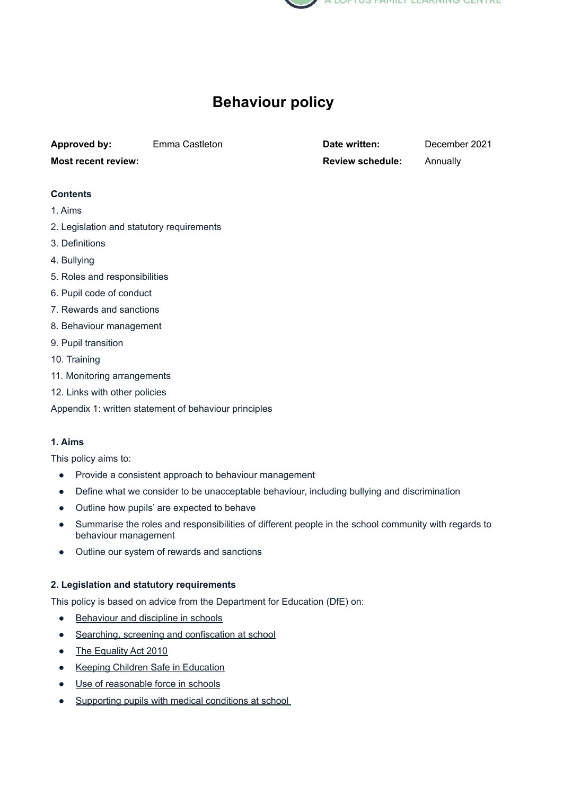

# **Behaviour policy**

**Approved by:** Emma Castleton **Date written:** December 2021

**Most recent review: Review Review schedule:** Annually

# **Contents**

- 1. [Aims](https://docs.google.com/document/d/1u_Y1Jvvo2SSIr5mlncgD3e6YVjQCkmSf/edit#heading=h.30j0zll)
- 2. Legislation and statutory [requirements](https://docs.google.com/document/d/1u_Y1Jvvo2SSIr5mlncgD3e6YVjQCkmSf/edit#heading=h.1fob9te)
- 3. [Definitions](https://docs.google.com/document/d/1u_Y1Jvvo2SSIr5mlncgD3e6YVjQCkmSf/edit#heading=h.1ksv4uv)
- 4. [Bullying](https://docs.google.com/document/d/1u_Y1Jvvo2SSIr5mlncgD3e6YVjQCkmSf/edit#heading=h.44sinio)
- 5. Roles and [responsibilities](https://docs.google.com/document/d/1u_Y1Jvvo2SSIr5mlncgD3e6YVjQCkmSf/edit#heading=h.z337ya)
- 6. Pupil code of [conduct](https://docs.google.com/document/d/1u_Y1Jvvo2SSIr5mlncgD3e6YVjQCkmSf/edit#heading=h.3o7alnk)
- 7. Rewards and [sanctions](https://docs.google.com/document/d/1u_Y1Jvvo2SSIr5mlncgD3e6YVjQCkmSf/edit#heading=h.23ckvvd)
- 8. Behaviour [management](https://docs.google.com/document/d/1u_Y1Jvvo2SSIr5mlncgD3e6YVjQCkmSf/edit#heading=h.ihv636)
- 9. Pupil [transition](https://docs.google.com/document/d/1u_Y1Jvvo2SSIr5mlncgD3e6YVjQCkmSf/edit#heading=h.32hioqz)
- 10. [Training](https://docs.google.com/document/d/1u_Y1Jvvo2SSIr5mlncgD3e6YVjQCkmSf/edit#heading=h.1hmsyys)
- 11. Monitoring [arrangements](https://docs.google.com/document/d/1u_Y1Jvvo2SSIr5mlncgD3e6YVjQCkmSf/edit#heading=h.41mghml)
- 12. Links with other [policies](https://docs.google.com/document/d/1u_Y1Jvvo2SSIr5mlncgD3e6YVjQCkmSf/edit#heading=h.2grqrue)
- Appendix 1: written statement of [behaviour](https://docs.google.com/document/d/1u_Y1Jvvo2SSIr5mlncgD3e6YVjQCkmSf/edit#heading=h.3as4poj) principles

# **1. Aims**

This policy aims to:

- Provide a consistent approach to behaviour management
- Define what we consider to be unacceptable behaviour, including bullying and discrimination
- Outline how pupils' are expected to behave
- Summarise the roles and responsibilities of different people in the school community with regards to behaviour management
- Outline our system of rewards and sanctions

# **2. Legislation and statutory requirements**

This policy is based on advice from the Department for Education (DfE) on:

- [Behaviour](https://www.gov.uk/government/publications/behaviour-and-discipline-in-schools) and discipline in schools
- Searching, screening and [confiscation](https://www.gov.uk/government/publications/searching-screening-and-confiscation) at school
- The [Equality](https://www.gov.uk/government/publications/equality-act-2010-advice-for-schools) Act 2010
- **Keeping Children Safe in [Education](https://www.gov.uk/government/publications/keeping-children-safe-in-education--2)**
- Use of [reasonable](https://www.gov.uk/government/publications/use-of-reasonable-force-in-schools) force in schools
- [Supporting](https://www.gov.uk/government/publications/supporting-pupils-at-school-with-medical-conditions--3) pupils with medical conditions at school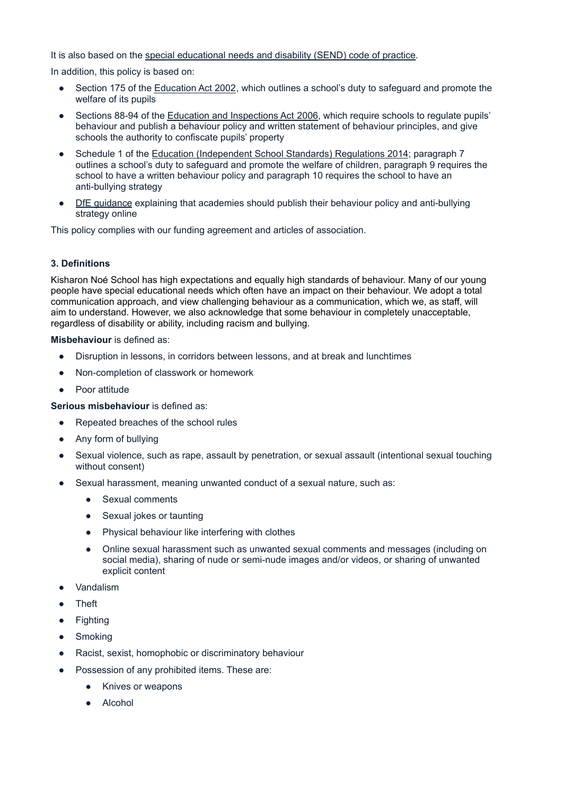It is also based on the special [educational](https://www.gov.uk/government/publications/send-code-of-practice-0-to-25) needs and disability (SEND) code of practice.

In addition, this policy is based on:

- Section 175 of the [Education](http://www.legislation.gov.uk/ukpga/2002/32/section/175) Act 2002, which outlines a school's duty to safeguard and promote the welfare of its pupils
- Sections 88-94 of the Education and [Inspections](http://www.legislation.gov.uk/ukpga/2006/40/section/88) Act 2006, which require schools to regulate pupils' behaviour and publish a behaviour policy and written statement of behaviour principles, and give schools the authority to confiscate pupils' property
- Schedule 1 of the Education [\(Independent](http://www.legislation.gov.uk/uksi/2014/3283/schedule/made) School Standards) Regulations 2014; paragraph 7 outlines a school's duty to safeguard and promote the welfare of children, paragraph 9 requires the school to have a written behaviour policy and paragraph 10 requires the school to have an anti-bullying strategy
- DfE [guidance](https://www.gov.uk/guidance/what-academies-free-schools-and-colleges-should-publish-online#behaviour-policy) explaining that academies should publish their behaviour policy and anti-bullying strategy online

This policy complies with our funding agreement and articles of association.

# **3. Definitions**

Kisharon Noé School has high expectations and equally high standards of behaviour. Many of our young people have special educational needs which often have an impact on their behaviour. We adopt a total communication approach, and view challenging behaviour as a communication, which we, as staff, will aim to understand. However, we also acknowledge that some behaviour in completely unacceptable, regardless of disability or ability, including racism and bullying.

#### **Misbehaviour** is defined as:

- Disruption in lessons, in corridors between lessons, and at break and lunchtimes
- Non-completion of classwork or homework
- Poor attitude

**Serious misbehaviour** is defined as:

- Repeated breaches of the school rules
- Any form of bullying
- Sexual violence, such as rape, assault by penetration, or sexual assault (intentional sexual touching without consent)
- Sexual harassment, meaning unwanted conduct of a sexual nature, such as:
	- Sexual comments
	- Sexual jokes or taunting
	- Physical behaviour like interfering with clothes
	- Online sexual harassment such as unwanted sexual comments and messages (including on social media), sharing of nude or semi-nude images and/or videos, or sharing of unwanted explicit content
- **Vandalism**
- **Theft**
- Fighting
- Smoking
- Racist, sexist, homophobic or discriminatory behaviour
- Possession of any prohibited items. These are:
	- Knives or weapons
	- **Alcohol**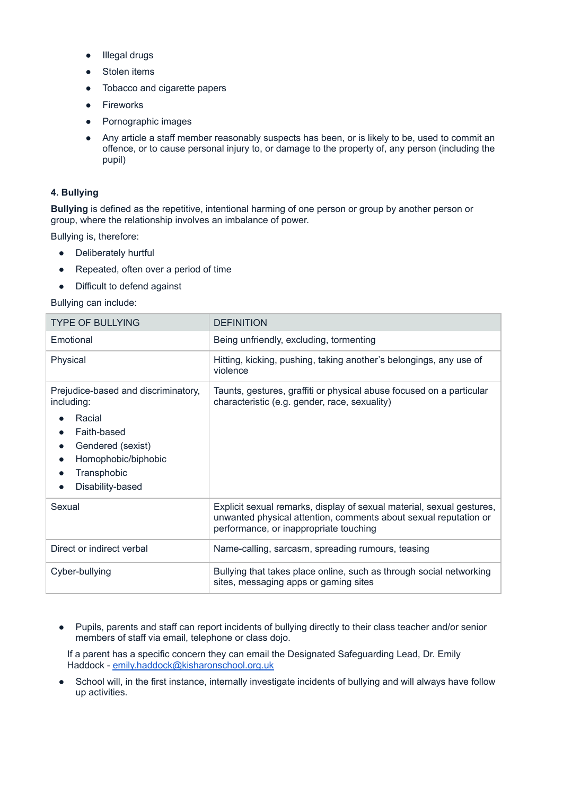- Illegal drugs
- Stolen items
- Tobacco and cigarette papers
- Fireworks
- Pornographic images
- Any article a staff member reasonably suspects has been, or is likely to be, used to commit an offence, or to cause personal injury to, or damage to the property of, any person (including the pupil)

## **4. Bullying**

**Bullying** is defined as the repetitive, intentional harming of one person or group by another person or group, where the relationship involves an imbalance of power.

Bullying is, therefore:

- Deliberately hurtful
- Repeated, often over a period of time
- Difficult to defend against

Bullying can include:

| <b>TYPE OF BULLYING</b>                                                                                                                                                | <b>DEFINITION</b>                                                                                                                                                                   |
|------------------------------------------------------------------------------------------------------------------------------------------------------------------------|-------------------------------------------------------------------------------------------------------------------------------------------------------------------------------------|
| Emotional                                                                                                                                                              | Being unfriendly, excluding, tormenting                                                                                                                                             |
| Physical                                                                                                                                                               | Hitting, kicking, pushing, taking another's belongings, any use of<br>violence                                                                                                      |
| Prejudice-based and discriminatory,<br>including:<br>Racial<br>Faith-based<br>Gendered (sexist)<br>Homophobic/biphobic<br>$\bullet$<br>Transphobic<br>Disability-based | Taunts, gestures, graffiti or physical abuse focused on a particular<br>characteristic (e.g. gender, race, sexuality)                                                               |
| Sexual                                                                                                                                                                 | Explicit sexual remarks, display of sexual material, sexual gestures,<br>unwanted physical attention, comments about sexual reputation or<br>performance, or inappropriate touching |
| Direct or indirect verbal                                                                                                                                              | Name-calling, sarcasm, spreading rumours, teasing                                                                                                                                   |
| Cyber-bullying                                                                                                                                                         | Bullying that takes place online, such as through social networking<br>sites, messaging apps or gaming sites                                                                        |

● Pupils, parents and staff can report incidents of bullying directly to their class teacher and/or senior members of staff via email, telephone or class dojo.

If a parent has a specific concern they can email the Designated Safeguarding Lead, Dr. Emily Haddock - [emily.haddock@kisharonschool.org.uk](mailto:emily.haddock@kisharonschool.org.uk)

School will, in the first instance, internally investigate incidents of bullying and will always have follow up activities.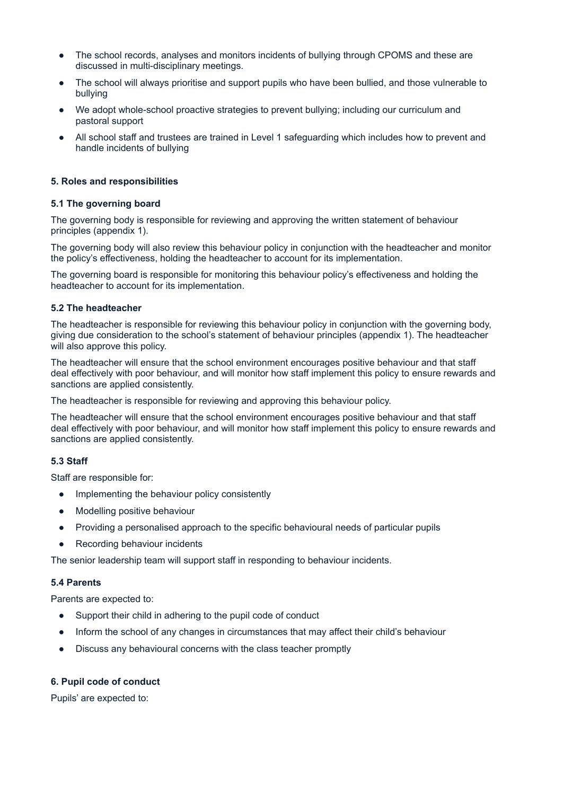- The school records, analyses and monitors incidents of bullying through CPOMS and these are discussed in multi-disciplinary meetings.
- The school will always prioritise and support pupils who have been bullied, and those vulnerable to bullying
- We adopt whole-school proactive strategies to prevent bullying; including our curriculum and pastoral support
- All school staff and trustees are trained in Level 1 safeguarding which includes how to prevent and handle incidents of bullying

#### **5. Roles and responsibilities**

#### **5.1 The governing board**

The governing body is responsible for reviewing and approving the written statement of behaviour principles (appendix 1).

The governing body will also review this behaviour policy in conjunction with the headteacher and monitor the policy's effectiveness, holding the headteacher to account for its implementation.

The governing board is responsible for monitoring this behaviour policy's effectiveness and holding the headteacher to account for its implementation.

#### **5.2 The headteacher**

The headteacher is responsible for reviewing this behaviour policy in conjunction with the governing body, giving due consideration to the school's statement of behaviour principles (appendix 1). The headteacher will also approve this policy.

The headteacher will ensure that the school environment encourages positive behaviour and that staff deal effectively with poor behaviour, and will monitor how staff implement this policy to ensure rewards and sanctions are applied consistently.

The headteacher is responsible for reviewing and approving this behaviour policy.

The headteacher will ensure that the school environment encourages positive behaviour and that staff deal effectively with poor behaviour, and will monitor how staff implement this policy to ensure rewards and sanctions are applied consistently.

#### **5.3 Staff**

Staff are responsible for:

- Implementing the behaviour policy consistently
- Modelling positive behaviour
- Providing a personalised approach to the specific behavioural needs of particular pupils
- **Recording behaviour incidents**

The senior leadership team will support staff in responding to behaviour incidents.

#### **5.4 Parents**

Parents are expected to:

- Support their child in adhering to the pupil code of conduct
- Inform the school of any changes in circumstances that may affect their child's behaviour
- Discuss any behavioural concerns with the class teacher promptly

#### **6. Pupil code of conduct**

Pupils' are expected to: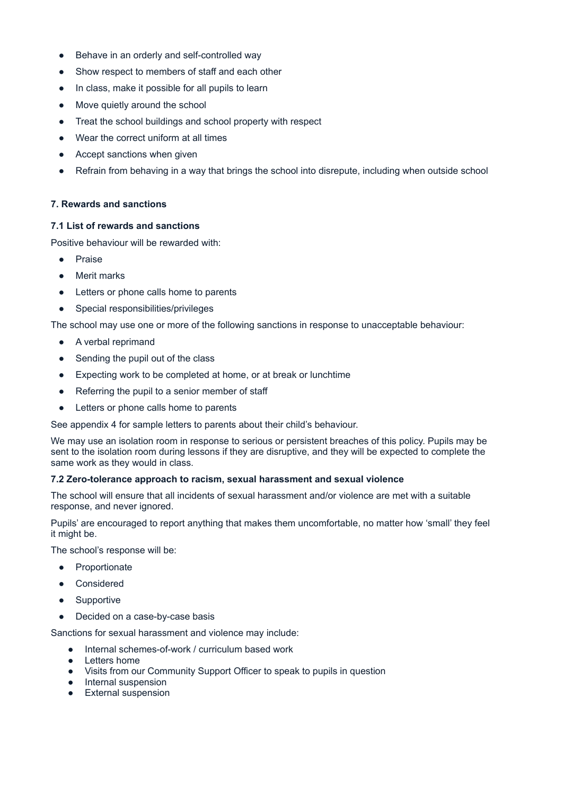- Behave in an orderly and self-controlled way
- Show respect to members of staff and each other
- In class, make it possible for all pupils to learn
- Move quietly around the school
- Treat the school buildings and school property with respect
- Wear the correct uniform at all times
- Accept sanctions when given
- Refrain from behaving in a way that brings the school into disrepute, including when outside school

## **7. Rewards and sanctions**

## **7.1 List of rewards and sanctions**

Positive behaviour will be rewarded with:

- Praise
- Merit marks
- Letters or phone calls home to parents
- Special responsibilities/privileges

The school may use one or more of the following sanctions in response to unacceptable behaviour:

- A verbal reprimand
- Sending the pupil out of the class
- Expecting work to be completed at home, or at break or lunchtime
- Referring the pupil to a senior member of staff
- Letters or phone calls home to parents

See appendix 4 for sample letters to parents about their child's behaviour.

We may use an isolation room in response to serious or persistent breaches of this policy. Pupils may be sent to the isolation room during lessons if they are disruptive, and they will be expected to complete the same work as they would in class.

## **7.2 Zero-tolerance approach to racism, sexual harassment and sexual violence**

The school will ensure that all incidents of sexual harassment and/or violence are met with a suitable response, and never ignored.

Pupils' are encouraged to report anything that makes them uncomfortable, no matter how 'small' they feel it might be.

The school's response will be:

- Proportionate
- Considered
- Supportive
- Decided on a case-by-case basis

Sanctions for sexual harassment and violence may include:

- Internal schemes-of-work / curriculum based work
- Letters home
- Visits from our Community Support Officer to speak to pupils in question
- Internal suspension
- External suspension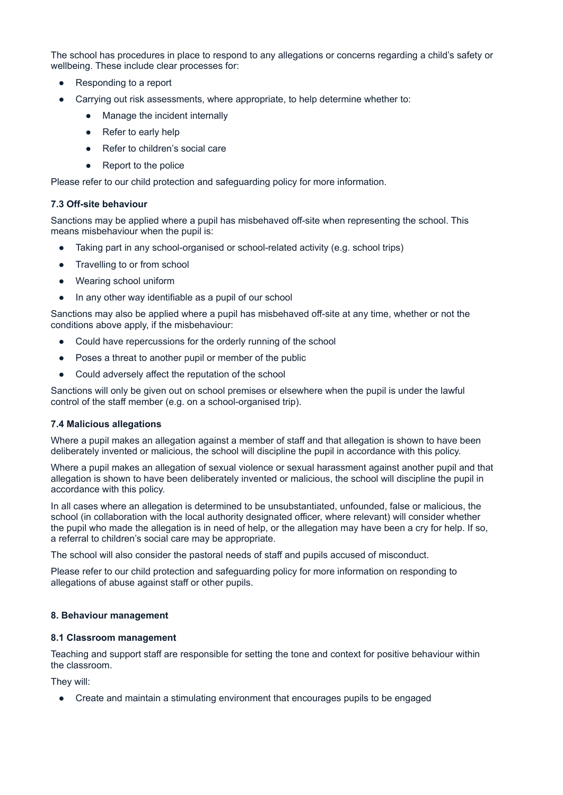The school has procedures in place to respond to any allegations or concerns regarding a child's safety or wellbeing. These include clear processes for:

- Responding to a report
- Carrying out risk assessments, where appropriate, to help determine whether to:
	- Manage the incident internally
	- Refer to early help
	- Refer to children's social care
	- Report to the police

Please refer to our child protection and safeguarding policy for more information.

#### **7.3 Off-site behaviour**

Sanctions may be applied where a pupil has misbehaved off-site when representing the school. This means misbehaviour when the pupil is:

- Taking part in any school-organised or school-related activity (e.g. school trips)
- Travelling to or from school
- Wearing school uniform
- In any other way identifiable as a pupil of our school

Sanctions may also be applied where a pupil has misbehaved off-site at any time, whether or not the conditions above apply, if the misbehaviour:

- Could have repercussions for the orderly running of the school
- Poses a threat to another pupil or member of the public
- Could adversely affect the reputation of the school

Sanctions will only be given out on school premises or elsewhere when the pupil is under the lawful control of the staff member (e.g. on a school-organised trip).

#### **7.4 Malicious allegations**

Where a pupil makes an allegation against a member of staff and that allegation is shown to have been deliberately invented or malicious, the school will discipline the pupil in accordance with this policy.

Where a pupil makes an allegation of sexual violence or sexual harassment against another pupil and that allegation is shown to have been deliberately invented or malicious, the school will discipline the pupil in accordance with this policy.

In all cases where an allegation is determined to be unsubstantiated, unfounded, false or malicious, the school (in collaboration with the local authority designated officer, where relevant) will consider whether the pupil who made the allegation is in need of help, or the allegation may have been a cry for help. If so, a referral to children's social care may be appropriate.

The school will also consider the pastoral needs of staff and pupils accused of misconduct.

Please refer to our child protection and safeguarding policy for more information on responding to allegations of abuse against staff or other pupils.

#### **8. Behaviour management**

#### **8.1 Classroom management**

Teaching and support staff are responsible for setting the tone and context for positive behaviour within the classroom.

They will:

● Create and maintain a stimulating environment that encourages pupils to be engaged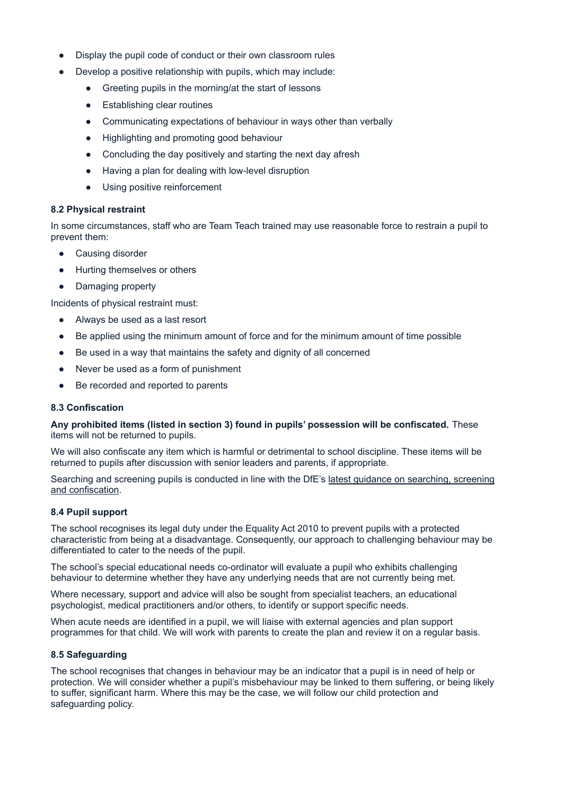- Display the pupil code of conduct or their own classroom rules
- Develop a positive relationship with pupils, which may include:
	- Greeting pupils in the morning/at the start of lessons
	- Establishing clear routines
	- Communicating expectations of behaviour in ways other than verbally
	- Highlighting and promoting good behaviour
	- Concluding the day positively and starting the next day afresh
	- Having a plan for dealing with low-level disruption
	- Using positive reinforcement

## **8.2 Physical restraint**

In some circumstances, staff who are Team Teach trained may use reasonable force to restrain a pupil to prevent them:

- Causing disorder
- Hurting themselves or others
- Damaging property

Incidents of physical restraint must:

- Always be used as a last resort
- Be applied using the minimum amount of force and for the minimum amount of time possible
- Be used in a way that maintains the safety and dignity of all concerned
- Never be used as a form of punishment
- Be recorded and reported to parents

## **8.3 Confiscation**

**Any prohibited items (listed in section 3) found in pupils' possession will be confiscated.** These items will not be returned to pupils.

We will also confiscate any item which is harmful or detrimental to school discipline. These items will be returned to pupils after discussion with senior leaders and parents, if appropriate.

Searching and screening pupils is conducted in line with the DfE's latest guidance on [searching,](https://www.gov.uk/government/publications/searching-screening-and-confiscation) screening and [confiscation](https://www.gov.uk/government/publications/searching-screening-and-confiscation).

## **8.4 Pupil support**

The school recognises its legal duty under the Equality Act 2010 to prevent pupils with a protected characteristic from being at a disadvantage. Consequently, our approach to challenging behaviour may be differentiated to cater to the needs of the pupil.

The school's special educational needs co-ordinator will evaluate a pupil who exhibits challenging behaviour to determine whether they have any underlying needs that are not currently being met.

Where necessary, support and advice will also be sought from specialist teachers, an educational psychologist, medical practitioners and/or others, to identify or support specific needs.

When acute needs are identified in a pupil, we will liaise with external agencies and plan support programmes for that child. We will work with parents to create the plan and review it on a regular basis.

## **8.5 Safeguarding**

The school recognises that changes in behaviour may be an indicator that a pupil is in need of help or protection. We will consider whether a pupil's misbehaviour may be linked to them suffering, or being likely to suffer, significant harm. Where this may be the case, we will follow our child protection and safeguarding policy.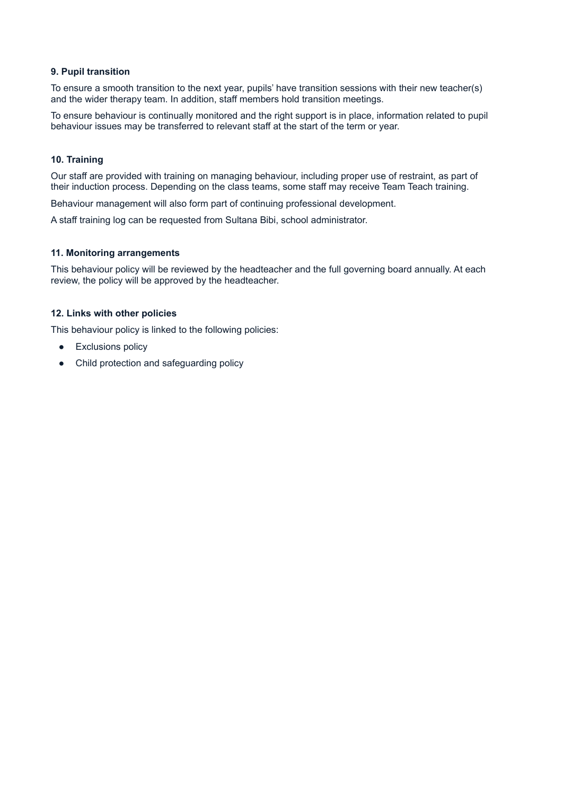#### **9. Pupil transition**

To ensure a smooth transition to the next year, pupils' have transition sessions with their new teacher(s) and the wider therapy team. In addition, staff members hold transition meetings.

To ensure behaviour is continually monitored and the right support is in place, information related to pupil behaviour issues may be transferred to relevant staff at the start of the term or year.

#### **10. Training**

Our staff are provided with training on managing behaviour, including proper use of restraint, as part of their induction process. Depending on the class teams, some staff may receive Team Teach training.

Behaviour management will also form part of continuing professional development.

A staff training log can be requested from Sultana Bibi, school administrator.

#### **11. Monitoring arrangements**

This behaviour policy will be reviewed by the headteacher and the full governing board annually. At each review, the policy will be approved by the headteacher.

#### **12. Links with other policies**

This behaviour policy is linked to the following policies:

- Exclusions policy
- Child protection and safeguarding policy